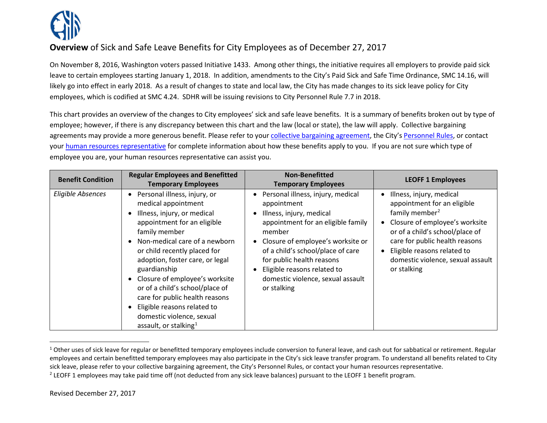<span id="page-0-1"></span><span id="page-0-0"></span>

## **Overview** of Sick and Safe Leave Benefits for City Employees as of December 27, 2017

On November 8, 2016, Washington voters passed Initiative 1433. Among other things, the initiative requires all employers to provide paid sick leave to certain employees starting January 1, 2018. In addition, amendments to the City's Paid Sick and Safe Time Ordinance, SMC 14.16, will likely go into effect in early 2018. As a result of changes to state and local law, the City has made changes to its sick leave policy for City employees, which is codified at SMC 4.24. SDHR will be issuing revisions to City Personnel Rule 7.7 in 2018.

This chart provides an overview of the changes to City employees' sick and safe leave benefits. It is a summary of benefits broken out by type of employee; however, if there is any discrepancy between this chart and the law (local or state), the law will apply. Collective bargaining agreements may provide a more generous benefit. Please refer to your [collective bargaining agreement,](http://www.seattle.gov/personnel/resources/agreements.asp) the City'[s Personnel Rules,](http://www.seattle.gov/personnel/resources/rules.asp) or contact your [human resources representative](http://sdhrweb/infomgmt/pubs/HR_Contact_List.pdf) for complete information about how these benefits apply to you. If you are not sure which type of employee you are, your human resources representative can assist you.

| <b>Benefit Condition</b> | <b>Regular Employees and Benefitted</b><br><b>Temporary Employees</b>                                                                                                                                                                                                                                                                                                                                                                                                                                              | <b>Non-Benefitted</b><br><b>Temporary Employees</b>                                                                                                                                                                                                                                                                      | <b>LEOFF 1 Employees</b>                                                                                                                                                                                                                                                        |
|--------------------------|--------------------------------------------------------------------------------------------------------------------------------------------------------------------------------------------------------------------------------------------------------------------------------------------------------------------------------------------------------------------------------------------------------------------------------------------------------------------------------------------------------------------|--------------------------------------------------------------------------------------------------------------------------------------------------------------------------------------------------------------------------------------------------------------------------------------------------------------------------|---------------------------------------------------------------------------------------------------------------------------------------------------------------------------------------------------------------------------------------------------------------------------------|
| Eligible Absences        | Personal illness, injury, or<br>$\bullet$<br>medical appointment<br>Illness, injury, or medical<br>appointment for an eligible<br>family member<br>Non-medical care of a newborn<br>$\bullet$<br>or child recently placed for<br>adoption, foster care, or legal<br>guardianship<br>Closure of employee's worksite<br>$\bullet$<br>or of a child's school/place of<br>care for public health reasons<br>Eligible reasons related to<br>$\bullet$<br>domestic violence, sexual<br>assault, or stalking <sup>1</sup> | Personal illness, injury, medical<br>appointment<br>Illness, injury, medical<br>appointment for an eligible family<br>member<br>• Closure of employee's worksite or<br>of a child's school/place of care<br>for public health reasons<br>Eligible reasons related to<br>domestic violence, sexual assault<br>or stalking | Illness, injury, medical<br>appointment for an eligible<br>family member <sup>2</sup><br>Closure of employee's worksite<br>or of a child's school/place of<br>care for public health reasons<br>Eligible reasons related to<br>domestic violence, sexual assault<br>or stalking |

 $1$  Other uses of sick leave for regular or benefitted temporary employees include conversion to funeral leave, and cash out for sabbatical or retirement. Regular employees and certain benefitted temporary employees may also participate in the City's sick leave transfer program. To understand all benefits related to City sick leave, please refer to your collective bargaining agreement, the City's Personnel Rules, or contact your human resources representative.

<sup>&</sup>lt;sup>2</sup> LEOFF 1 employees may take paid time off (not deducted from any sick leave balances) pursuant to the LEOFF 1 benefit program.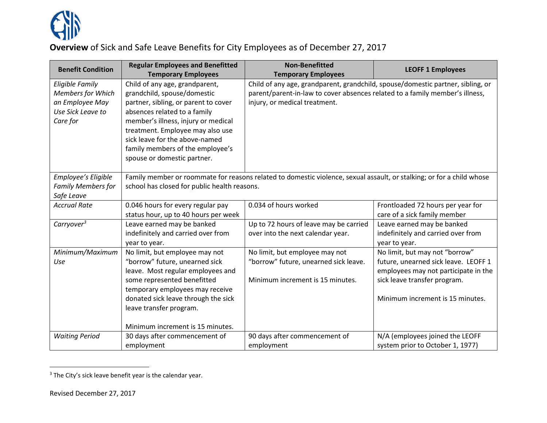<span id="page-1-0"></span>

## **Overview** of Sick and Safe Leave Benefits for City Employees as of December 27, 2017

| <b>Benefit Condition</b>                                                                               | <b>Regular Employees and Benefitted</b>                                                                                                                                                                                                                                                                               | <b>Non-Benefitted</b>                                                                                                                                                                            | <b>LEOFF 1 Employees</b>                                                                                                                                                           |  |  |
|--------------------------------------------------------------------------------------------------------|-----------------------------------------------------------------------------------------------------------------------------------------------------------------------------------------------------------------------------------------------------------------------------------------------------------------------|--------------------------------------------------------------------------------------------------------------------------------------------------------------------------------------------------|------------------------------------------------------------------------------------------------------------------------------------------------------------------------------------|--|--|
|                                                                                                        | <b>Temporary Employees</b>                                                                                                                                                                                                                                                                                            | <b>Temporary Employees</b>                                                                                                                                                                       |                                                                                                                                                                                    |  |  |
| <b>Eligible Family</b><br><b>Members for Which</b><br>an Employee May<br>Use Sick Leave to<br>Care for | Child of any age, grandparent,<br>grandchild, spouse/domestic<br>partner, sibling, or parent to cover<br>absences related to a family<br>member's illness, injury or medical<br>treatment. Employee may also use<br>sick leave for the above-named<br>family members of the employee's<br>spouse or domestic partner. | Child of any age, grandparent, grandchild, spouse/domestic partner, sibling, or<br>parent/parent-in-law to cover absences related to a family member's illness,<br>injury, or medical treatment. |                                                                                                                                                                                    |  |  |
| Employee's Eligible<br><b>Family Members for</b><br>Safe Leave                                         | Family member or roommate for reasons related to domestic violence, sexual assault, or stalking; or for a child whose<br>school has closed for public health reasons.                                                                                                                                                 |                                                                                                                                                                                                  |                                                                                                                                                                                    |  |  |
| <b>Accrual Rate</b>                                                                                    | 0.046 hours for every regular pay<br>status hour, up to 40 hours per week                                                                                                                                                                                                                                             | 0.034 of hours worked                                                                                                                                                                            | Frontloaded 72 hours per year for<br>care of a sick family member                                                                                                                  |  |  |
| Carryover $3$                                                                                          | Leave earned may be banked<br>indefinitely and carried over from<br>year to year.                                                                                                                                                                                                                                     | Up to 72 hours of leave may be carried<br>over into the next calendar year.                                                                                                                      | Leave earned may be banked<br>indefinitely and carried over from<br>year to year.                                                                                                  |  |  |
| Minimum/Maximum<br>Use                                                                                 | No limit, but employee may not<br>"borrow" future, unearned sick<br>leave. Most regular employees and<br>some represented benefitted<br>temporary employees may receive<br>donated sick leave through the sick<br>leave transfer program.<br>Minimum increment is 15 minutes.                                         | No limit, but employee may not<br>"borrow" future, unearned sick leave.<br>Minimum increment is 15 minutes.                                                                                      | No limit, but may not "borrow"<br>future, unearned sick leave. LEOFF 1<br>employees may not participate in the<br>sick leave transfer program.<br>Minimum increment is 15 minutes. |  |  |
| <b>Waiting Period</b>                                                                                  | 30 days after commencement of<br>employment                                                                                                                                                                                                                                                                           | 90 days after commencement of<br>employment                                                                                                                                                      | N/A (employees joined the LEOFF<br>system prior to October 1, 1977)                                                                                                                |  |  |

 $3$  The City's sick leave benefit year is the calendar year.